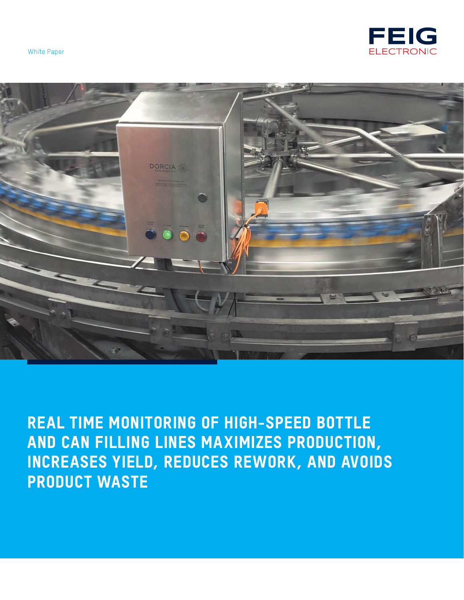





REAL TIME MONITORING OF HIGH-SPEED BOTTLE AND CAN FILLING LINES MAXIMIZES PRODUCTION, INCREASES YIELD, REDUCES REWORK, AND AVOIDS PRODUCT WASTE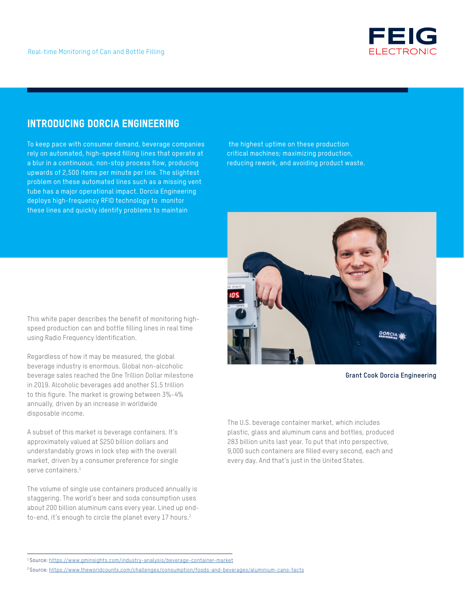

# INTRODUCING DORCIA ENGINEERING

To keep pace with consumer demand, beverage companies rely on automated, high-speed filling lines that operate at a blur in a continuous, non-stop process flow, producing upwards of 2,500 items per minute per line. The slightest problem on these automated lines such as a missing vent tube has a major operational impact. Dorcia Engineering deploys high-frequency RFID technology to monitor these lines and quickly identify problems to maintain

 the highest uptime on these production critical machines; maximizing production, reducing rework, and avoiding product waste.



**Grant Cook Dorcia Engineering**

The U.S. beverage container market, which includes plastic, glass and aluminum cans and bottles, produced 283 billion units last year. To put that into perspective, 9,000 such containers are filled every second, each and every day. And that's just in the United States.

This white paper describes the benefit of monitoring highspeed production can and bottle filling lines in real time using Radio Frequency Identification.

Regardless of how it may be measured, the global beverage industry is enormous. Global non-alcoholic beverage sales reached the One Trillion Dollar milestone in 2019. Alcoholic beverages add another \$1.5 trillion to this figure. The market is growing between 3%-4% annually, driven by an increase in worldwide disposable income.

A subset of this market is beverage containers. It's approximately valued at \$250 billion dollars and understandably grows in lock step with the overall market, driven by a consumer preference for single serve containers. $^{\rm 1}$ 

The volume of single use containers produced annually is staggering. The world's beer and soda consumption uses about 200 billion aluminum cans every year. Lined up endto-end, it's enough to circle the planet every 17 hours.<sup>2</sup>

<sup>1</sup>Source: https://www.gminsights.com/industry-analysis/beverage-container-market

<sup>2</sup>Source: https://www.theworldcounts.com/challenges/consumption/foods-and-beverages/aluminium-cans-facts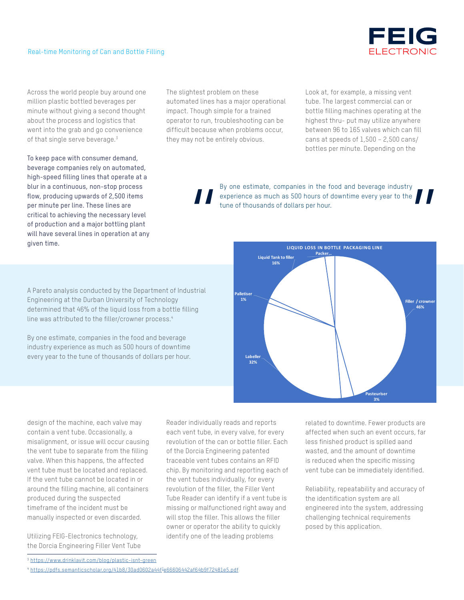

Across the world people buy around one million plastic bottled beverages per minute without giving a second thought about the process and logistics that went into the grab and go convenience of that single serve beverage.<sup>3</sup>

To keep pace with consumer demand, beverage companies rely on automated, high-speed filling lines that operate at a blur in a continuous, non-stop process flow, producing upwards of 2,500 items per minute per line. These lines are critical to achieving the necessary level of production and a major bottling plant will have several lines in operation at any given time.

The slightest problem on these automated lines has a major operational impact. Though simple for a trained operator to run, troubleshooting can be difficult because when problems occur, they may not be entirely obvious.

Look at, for example, a missing vent tube. The largest commercial can or bottle filling machines operating at the highest thru- put may utilize anywhere between 96 to 165 valves which can fill cans at speeds of 1,500 – 2,500 cans/ bottles per minute. Depending on the

By one estimate, companies in the food and beverage industry experience as much as 500 hours of downtime every year to the tune of thousands of dollars per hour. By one estimate, companies in the food and beverage industry<br>experience as much as 500 hours of downtime every year to the<br>tune of thousands of dollars per hour.<br>Liquid Tankto filler



By one estimate, companies in the food and beverage industry experience as much as 500 hours of downtime every year to the tune of thousands of dollars per hour.



design of the machine, each valve may contain a vent tube. Occasionally, a misalignment, or issue will occur causing the vent tube to separate from the filling valve. When this happens, the affected vent tube must be located and replaced. If the vent tube cannot be located in or around the filling machine, all containers produced during the suspected timeframe of the incident must be manually inspected or even discarded.

Utilizing FEIG-Electronics technology, the Dorcia Engineering Filler Vent Tube Reader individually reads and reports each vent tube, in every valve, for every revolution of the can or bottle filler. Each of the Dorcia Engineering patented traceable vent tubes contains an RFID chip. By monitoring and reporting each of the vent tubes individually, for every revolution of the filler, the Filler Vent Tube Reader can identify if a vent tube is missing or malfunctioned right away and will stop the filler. This allows the filler owner or operator the ability to quickly identify one of the leading problems

related to downtime. Fewer products are affected when such an event occurs, far less finished product is spilled aand wasted, and the amount of downtime is reduced when the specific missing vent tube can be immediately identified.

Reliability, repeatability and accuracy of the identification system are all engineered into the system, addressing challenging technical requirements posed by this application.

<sup>3</sup> https://www.drinklavit.com/blog/plastic-isnt-green

<sup>4</sup> https://pdfs.semanticscholar.org/41b8/30ad0602a44f3 e66606442af64b9f72481e5.pdf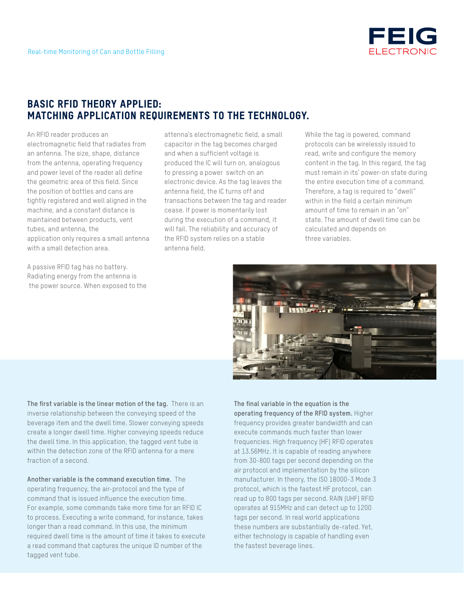

## BASIC RFID THEORY APPLIED: MATCHING APPLICATION REQUIREMENTS TO THE TECHNOLOGY.

An RFID reader produces an electromagnetic field that radiates from an antenna. The size, shape, distance from the antenna, operating frequency and power level of the reader all define the geometric area of this field. Since the position of bottles and cans are tightly registered and well aligned in the machine, and a constant distance is maintained between products, vent tubes, and antenna, the application only requires a small antenna with a small detection area.

A passive RFID tag has no battery. Radiating energy from the antenna is the power source. When exposed to the attenna's electromagnetic field, a small capacitor in the tag becomes charged and when a sufficient voltage is produced the IC will turn on, analogous to pressing a power switch on an electronic device. As the tag leaves the antenna field, the IC turns off and transactions between the tag and reader cease. If power is momentarily lost during the execution of a command, it will fail. The reliability and accuracy of the RFID system relies on a stable antenna field.

While the tag is powered, command protocols can be wirelessly issued to read, write and configure the memory content in the tag. In this regard, the tag must remain in its' power-on state during the entire execution time of a command. Therefore, a tag is required to "dwell" within in the field a certain minimum amount of time to remain in an "on" state. The amount of dwell time can be calculated and depends on three variables.



**The first variable is the linear motion of the tag.** There is an inverse relationship between the conveying speed of the beverage item and the dwell time. Slower conveying speeds create a longer dwell time. Higher conveying speeds reduce the dwell time. In this application, the tagged vent tube is within the detection zone of the RFID antenna for a mere fraction of a second.

**Another variable is the command execution time.** The operating frequency, the air-protocol and the type of command that is issued influence the execution time. For example, some commands take more time for an RFID IC to process. Executing a write command, for instance, takes longer than a read command. In this use, the minimum required dwell time is the amount of time it takes to execute a read command that captures the unique ID number of the tagged vent tube.

**The final variable in the equation is the operating frequency of the RFID system.** Higher frequency provides greater bandwidth and can execute commands much faster than lower frequencies. High frequency (HF) RFID operates at 13.56MHz. It is capable of reading anywhere from 30-800 tags per second depending on the air protocol and implementation by the silicon manufacturer. In theory, the ISO 18000-3 Mode 3 protocol, which is the fastest HF protocol, can read up to 800 tags per second. RAIN (UHF) RFID operates at 915MHz and can detect up to 1200 tags per second. In real world applications these numbers are substantially de-rated. Yet, either technology is capable of handling even the fastest beverage lines.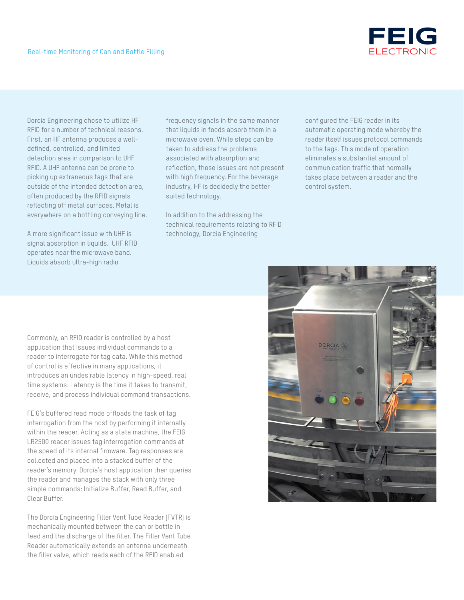Dorcia Engineering chose to utilize HF RFID for a number of technical reasons. First, an HF antenna produces a welldefined, controlled, and limited detection area in comparison to UHF RFID. A UHF antenna can be prone to picking up extraneous tags that are outside of the intended detection area, often produced by the RFID signals reflecting off metal surfaces. Metal is everywhere on a bottling conveying line.

A more significant issue with UHF is signal absorption in liquids. UHF RFID operates near the microwave band. Liquids absorb ultra-high radio

frequency signals in the same manner that liquids in foods absorb them in a microwave oven. While steps can be taken to address the problems associated with absorption and reflection, those issues are not present with high frequency. For the beverage industry, HF is decidedly the bettersuited technology.

In addition to the addressing the technical requirements relating to RFID technology, Dorcia Engineering

configured the FEIG reader in its automatic operating mode whereby the reader itself issues protocol commands to the tags. This mode of operation eliminates a substantial amount of communication traffic that normally takes place between a reader and the control system.

Commonly, an RFID reader is controlled by a host application that issues individual commands to a reader to interrogate for tag data. While this method of control is effective in many applications, it introduces an undesirable latency in high-speed, real time systems. Latency is the time it takes to transmit, receive, and process individual command transactions.

FEIG's buffered read mode offloads the task of tag interrogation from the host by performing it internally within the reader. Acting as a state machine, the FEIG LR2500 reader issues tag interrogation commands at the speed of its internal firmware. Tag responses are collected and placed into a stacked buffer of the reader's memory. Dorcia's host application then queries the reader and manages the stack with only three simple commands: Initialize Buffer, Read Buffer, and Clear Buffer.

The Dorcia Engineering Filler Vent Tube Reader (FVTR) is mechanically mounted between the can or bottle infeed and the discharge of the filler. The Filler Vent Tube Reader automatically extends an antenna underneath the filler valve, which reads each of the RFID enabled